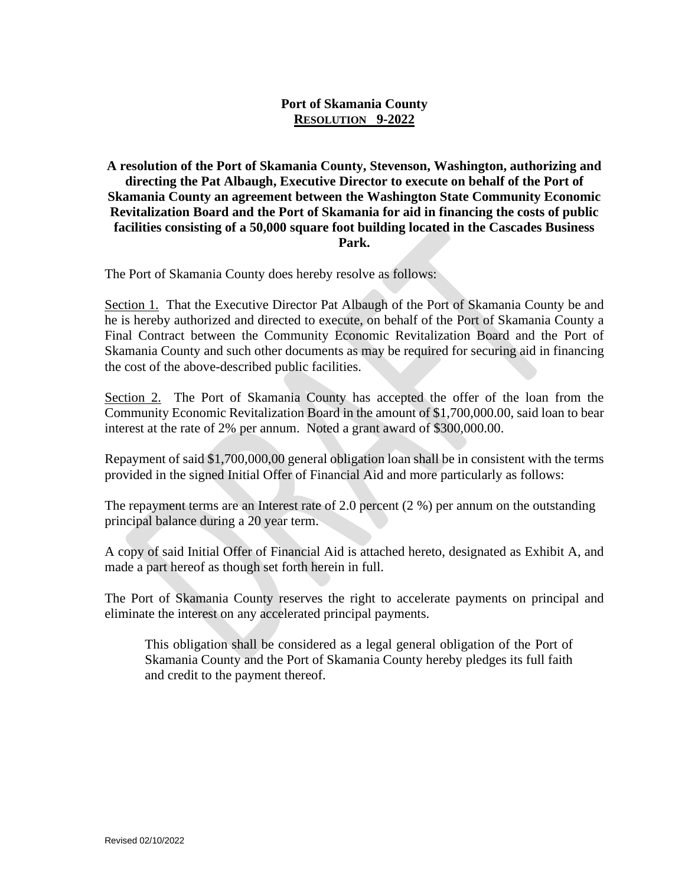## **Port of Skamania County RESOLUTION 9-2022**

**A resolution of the Port of Skamania County, Stevenson, Washington, authorizing and directing the Pat Albaugh, Executive Director to execute on behalf of the Port of Skamania County an agreement between the Washington State Community Economic Revitalization Board and the Port of Skamania for aid in financing the costs of public facilities consisting of a 50,000 square foot building located in the Cascades Business Park.**

The Port of Skamania County does hereby resolve as follows:

Section 1. That the Executive Director Pat Albaugh of the Port of Skamania County be and he is hereby authorized and directed to execute, on behalf of the Port of Skamania County a Final Contract between the Community Economic Revitalization Board and the Port of Skamania County and such other documents as may be required for securing aid in financing the cost of the above-described public facilities.

Section 2. The Port of Skamania County has accepted the offer of the loan from the Community Economic Revitalization Board in the amount of \$1,700,000.00, said loan to bear interest at the rate of 2% per annum. Noted a grant award of \$300,000.00.

Repayment of said \$1,700,000,00 general obligation loan shall be in consistent with the terms provided in the signed Initial Offer of Financial Aid and more particularly as follows:

The repayment terms are an Interest rate of 2.0 percent (2 %) per annum on the outstanding principal balance during a 20 year term.

A copy of said Initial Offer of Financial Aid is attached hereto, designated as Exhibit A, and made a part hereof as though set forth herein in full.

The Port of Skamania County reserves the right to accelerate payments on principal and eliminate the interest on any accelerated principal payments.

This obligation shall be considered as a legal general obligation of the Port of Skamania County and the Port of Skamania County hereby pledges its full faith and credit to the payment thereof.